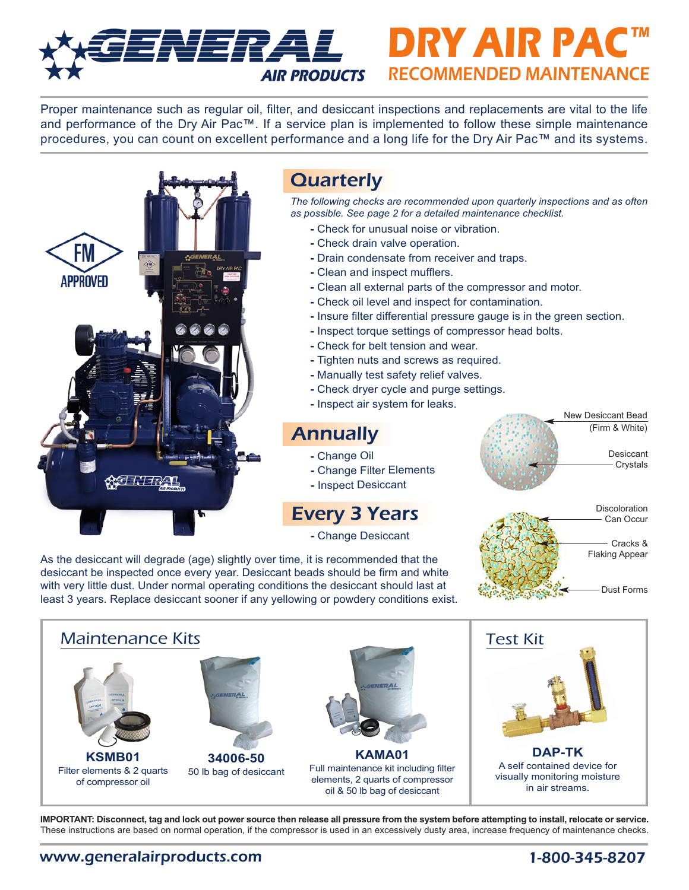## **AIR PRODUCTS RECOMMENDED MAINTENANCE ENERAL DRY AIR PAC**

Proper maintenance such as regular oil, filter, and desiccant inspections and replacements are vital to the life and performance of the Dry Air Pac™. If a service plan is implemented to follow these simple maintenance procedures, you can count on excellent performance and a long life for the Dry Air Pac™ and its systems.



As the desiccant will degrade (age) slightly over time, it is recommended that the desiccant be inspected once every year. Desiccant beads should be firm and white with very little dust. Under normal operating conditions the desiccant should last at least 3 years. Replace desiccant sooner if any yellowing or powdery conditions exist.



New Desiccant Bead (Firm & White)

> Desiccant Crystals



**IMPORTANT: Disconnect, tag and lock out power source then release all pressure from the system before attempting to install, relocate or service.** These instructions are based on normal operation, if the compressor is used in an excessively dusty area, increase frequency of maintenance checks.